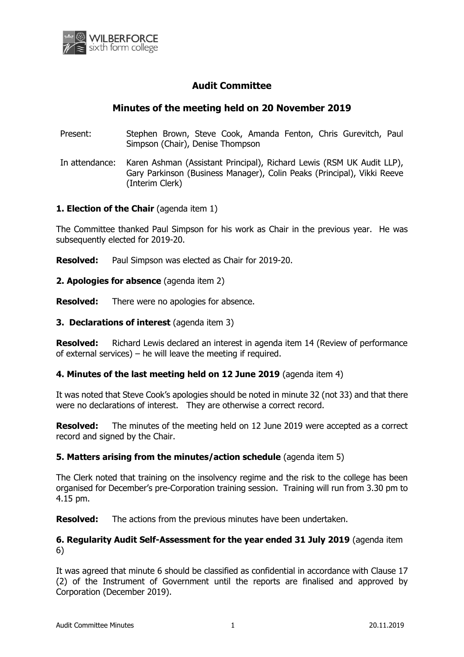

# **Audit Committee**

# **Minutes of the meeting held on 20 November 2019**

- Present: Stephen Brown, Steve Cook, Amanda Fenton, Chris Gurevitch, Paul Simpson (Chair), Denise Thompson
- In attendance: Karen Ashman (Assistant Principal), Richard Lewis (RSM UK Audit LLP), Gary Parkinson (Business Manager), Colin Peaks (Principal), Vikki Reeve (Interim Clerk)

## **1. Election of the Chair** (agenda item 1)

The Committee thanked Paul Simpson for his work as Chair in the previous year. He was subsequently elected for 2019-20.

**Resolved:** Paul Simpson was elected as Chair for 2019-20.

#### **2. Apologies for absence** (agenda item 2)

**Resolved:** There were no apologies for absence.

#### **3. Declarations of interest** (agenda item 3)

**Resolved:** Richard Lewis declared an interest in agenda item 14 (Review of performance of external services) – he will leave the meeting if required.

#### **4. Minutes of the last meeting held on 12 June 2019** (agenda item 4)

It was noted that Steve Cook's apologies should be noted in minute 32 (not 33) and that there were no declarations of interest. They are otherwise a correct record.

**Resolved:** The minutes of the meeting held on 12 June 2019 were accepted as a correct record and signed by the Chair.

#### **5. Matters arising from the minutes/action schedule** (agenda item 5)

The Clerk noted that training on the insolvency regime and the risk to the college has been organised for December's pre-Corporation training session. Training will run from 3.30 pm to 4.15 pm.

**Resolved:** The actions from the previous minutes have been undertaken.

## **6. Regularity Audit Self-Assessment for the year ended 31 July 2019** (agenda item 6)

It was agreed that minute 6 should be classified as confidential in accordance with Clause 17 (2) of the Instrument of Government until the reports are finalised and approved by Corporation (December 2019).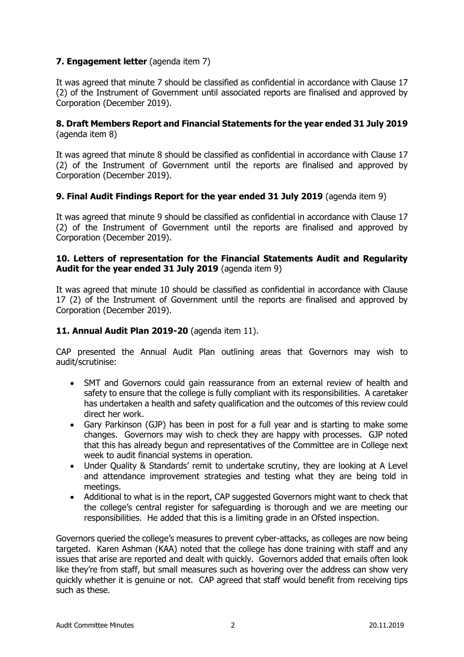## **7. Engagement letter** (agenda item 7)

It was agreed that minute 7 should be classified as confidential in accordance with Clause 17 (2) of the Instrument of Government until associated reports are finalised and approved by Corporation (December 2019).

## **8. Draft Members Report and Financial Statements for the year ended 31 July 2019** (agenda item 8)

It was agreed that minute 8 should be classified as confidential in accordance with Clause 17 (2) of the Instrument of Government until the reports are finalised and approved by Corporation (December 2019).

## **9. Final Audit Findings Report for the year ended 31 July 2019** (agenda item 9)

It was agreed that minute 9 should be classified as confidential in accordance with Clause 17 (2) of the Instrument of Government until the reports are finalised and approved by Corporation (December 2019).

## **10. Letters of representation for the Financial Statements Audit and Regularity Audit for the year ended 31 July 2019** (agenda item 9)

It was agreed that minute 10 should be classified as confidential in accordance with Clause 17 (2) of the Instrument of Government until the reports are finalised and approved by Corporation (December 2019).

### **11. Annual Audit Plan 2019-20** (agenda item 11).

CAP presented the Annual Audit Plan outlining areas that Governors may wish to audit/scrutinise:

- SMT and Governors could gain reassurance from an external review of health and safety to ensure that the college is fully compliant with its responsibilities. A caretaker has undertaken a health and safety qualification and the outcomes of this review could direct her work.
- Gary Parkinson (GJP) has been in post for a full year and is starting to make some changes. Governors may wish to check they are happy with processes. GJP noted that this has already begun and representatives of the Committee are in College next week to audit financial systems in operation.
- Under Quality & Standards' remit to undertake scrutiny, they are looking at A Level and attendance improvement strategies and testing what they are being told in meetings.
- Additional to what is in the report, CAP suggested Governors might want to check that the college's central register for safeguarding is thorough and we are meeting our responsibilities. He added that this is a limiting grade in an Ofsted inspection.

Governors queried the college's measures to prevent cyber-attacks, as colleges are now being targeted. Karen Ashman (KAA) noted that the college has done training with staff and any issues that arise are reported and dealt with quickly. Governors added that emails often look like they're from staff, but small measures such as hovering over the address can show very quickly whether it is genuine or not. CAP agreed that staff would benefit from receiving tips such as these.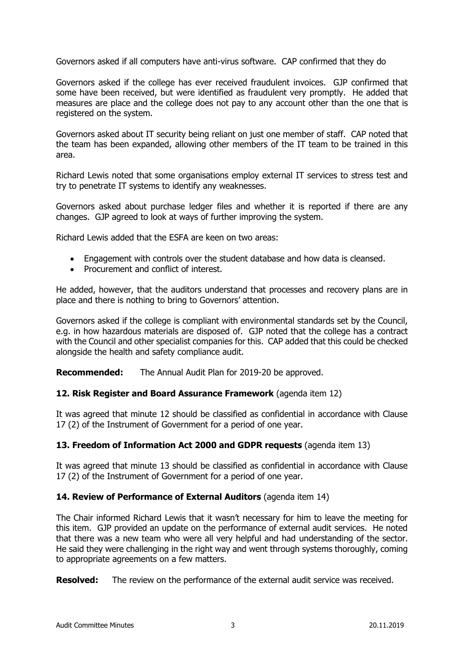Governors asked if all computers have anti-virus software. CAP confirmed that they do

Governors asked if the college has ever received fraudulent invoices. GJP confirmed that some have been received, but were identified as fraudulent very promptly. He added that measures are place and the college does not pay to any account other than the one that is registered on the system.

Governors asked about IT security being reliant on just one member of staff. CAP noted that the team has been expanded, allowing other members of the IT team to be trained in this area.

Richard Lewis noted that some organisations employ external IT services to stress test and try to penetrate IT systems to identify any weaknesses.

Governors asked about purchase ledger files and whether it is reported if there are any changes. GJP agreed to look at ways of further improving the system.

Richard Lewis added that the ESFA are keen on two areas:

- Engagement with controls over the student database and how data is cleansed.
- Procurement and conflict of interest.

He added, however, that the auditors understand that processes and recovery plans are in place and there is nothing to bring to Governors' attention.

Governors asked if the college is compliant with environmental standards set by the Council, e.g. in how hazardous materials are disposed of. GJP noted that the college has a contract with the Council and other specialist companies for this. CAP added that this could be checked alongside the health and safety compliance audit.

**Recommended:** The Annual Audit Plan for 2019-20 be approved.

#### **12. Risk Register and Board Assurance Framework** (agenda item 12)

It was agreed that minute 12 should be classified as confidential in accordance with Clause 17 (2) of the Instrument of Government for a period of one year.

## **13. Freedom of Information Act 2000 and GDPR requests** (agenda item 13)

It was agreed that minute 13 should be classified as confidential in accordance with Clause 17 (2) of the Instrument of Government for a period of one year.

#### **14. Review of Performance of External Auditors** (agenda item 14)

The Chair informed Richard Lewis that it wasn't necessary for him to leave the meeting for this item. GJP provided an update on the performance of external audit services. He noted that there was a new team who were all very helpful and had understanding of the sector. He said they were challenging in the right way and went through systems thoroughly, coming to appropriate agreements on a few matters.

**Resolved:** The review on the performance of the external audit service was received.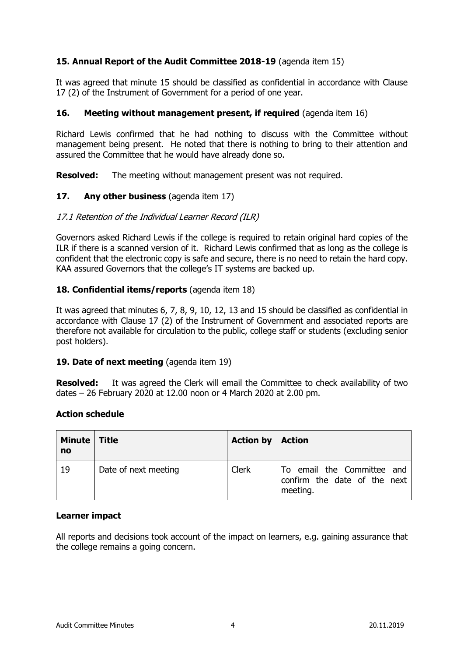## **15. Annual Report of the Audit Committee 2018-19** (agenda item 15)

It was agreed that minute 15 should be classified as confidential in accordance with Clause 17 (2) of the Instrument of Government for a period of one year.

### **16.** Meeting without management present, if required (agenda item 16)

Richard Lewis confirmed that he had nothing to discuss with the Committee without management being present. He noted that there is nothing to bring to their attention and assured the Committee that he would have already done so.

**Resolved:** The meeting without management present was not required.

## **17. Any other business** (agenda item 17)

#### 17.1 Retention of the Individual Learner Record (ILR)

Governors asked Richard Lewis if the college is required to retain original hard copies of the ILR if there is a scanned version of it. Richard Lewis confirmed that as long as the college is confident that the electronic copy is safe and secure, there is no need to retain the hard copy. KAA assured Governors that the college's IT systems are backed up.

## **18. Confidential items/reports** (agenda item 18)

It was agreed that minutes 6, 7, 8, 9, 10, 12, 13 and 15 should be classified as confidential in accordance with Clause 17 (2) of the Instrument of Government and associated reports are therefore not available for circulation to the public, college staff or students (excluding senior post holders).

#### 19. Date of next meeting (agenda item 19)

**Resolved:** It was agreed the Clerk will email the Committee to check availability of two dates – 26 February 2020 at 12.00 noon or 4 March 2020 at 2.00 pm.

### **Action schedule**

| Minute   Title<br>no |                      | <b>Action by   Action</b> |                                                                        |
|----------------------|----------------------|---------------------------|------------------------------------------------------------------------|
| 19                   | Date of next meeting | Clerk                     | To email the Committee and<br>confirm the date of the next<br>meeting. |

#### **Learner impact**

All reports and decisions took account of the impact on learners, e.g. gaining assurance that the college remains a going concern.